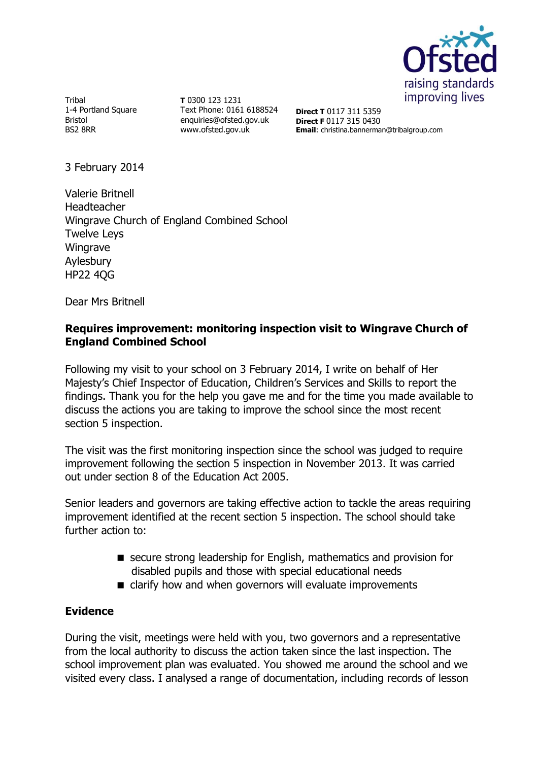

Tribal 1-4 Portland Square Bristol BS2 8RR

**T** 0300 123 1231 Text Phone: 0161 6188524 enquiries@ofsted.gov.uk www.ofsted.gov.uk

**Direct T** 0117 311 5359 **Direct F** 0117 315 0430 **Email**: christina.bannerman@tribalgroup.com

3 February 2014

Valerie Britnell Headteacher Wingrave Church of England Combined School Twelve Leys Wingrave Aylesbury HP22 4QG

Dear Mrs Britnell

## **Requires improvement: monitoring inspection visit to Wingrave Church of England Combined School**

Following my visit to your school on 3 February 2014, I write on behalf of Her Majesty's Chief Inspector of Education, Children's Services and Skills to report the findings. Thank you for the help you gave me and for the time you made available to discuss the actions you are taking to improve the school since the most recent section 5 inspection.

The visit was the first monitoring inspection since the school was judged to require improvement following the section 5 inspection in November 2013. It was carried out under section 8 of the Education Act 2005.

Senior leaders and governors are taking effective action to tackle the areas requiring improvement identified at the recent section 5 inspection. The school should take further action to:

- secure strong leadership for English, mathematics and provision for disabled pupils and those with special educational needs
- clarify how and when governors will evaluate improvements

### **Evidence**

During the visit, meetings were held with you, two governors and a representative from the local authority to discuss the action taken since the last inspection. The school improvement plan was evaluated. You showed me around the school and we visited every class. I analysed a range of documentation, including records of lesson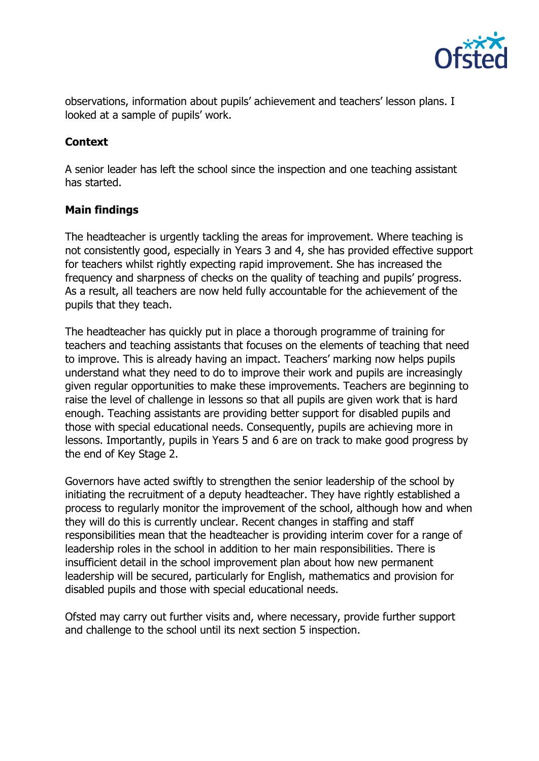

observations, information about pupils' achievement and teachers' lesson plans. I looked at a sample of pupils' work.

# **Context**

A senior leader has left the school since the inspection and one teaching assistant has started.

### **Main findings**

The headteacher is urgently tackling the areas for improvement. Where teaching is not consistently good, especially in Years 3 and 4, she has provided effective support for teachers whilst rightly expecting rapid improvement. She has increased the frequency and sharpness of checks on the quality of teaching and pupils' progress. As a result, all teachers are now held fully accountable for the achievement of the pupils that they teach.

The headteacher has quickly put in place a thorough programme of training for teachers and teaching assistants that focuses on the elements of teaching that need to improve. This is already having an impact. Teachers' marking now helps pupils understand what they need to do to improve their work and pupils are increasingly given regular opportunities to make these improvements. Teachers are beginning to raise the level of challenge in lessons so that all pupils are given work that is hard enough. Teaching assistants are providing better support for disabled pupils and those with special educational needs. Consequently, pupils are achieving more in lessons. Importantly, pupils in Years 5 and 6 are on track to make good progress by the end of Key Stage 2.

Governors have acted swiftly to strengthen the senior leadership of the school by initiating the recruitment of a deputy headteacher. They have rightly established a process to regularly monitor the improvement of the school, although how and when they will do this is currently unclear. Recent changes in staffing and staff responsibilities mean that the headteacher is providing interim cover for a range of leadership roles in the school in addition to her main responsibilities. There is insufficient detail in the school improvement plan about how new permanent leadership will be secured, particularly for English, mathematics and provision for disabled pupils and those with special educational needs.

Ofsted may carry out further visits and, where necessary, provide further support and challenge to the school until its next section 5 inspection.